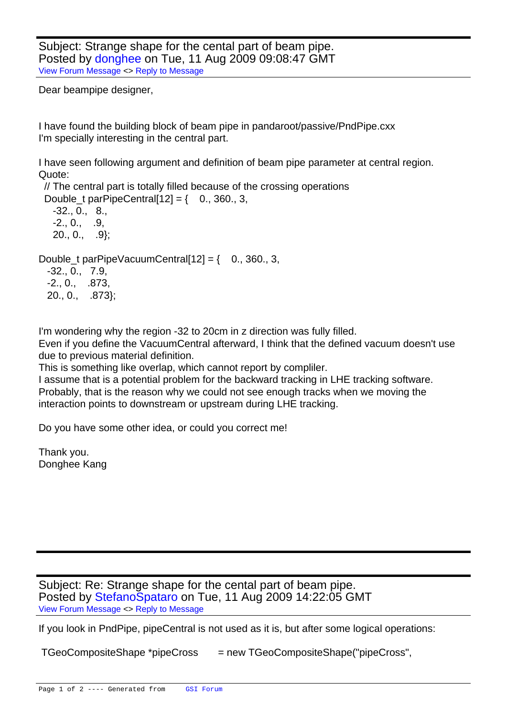Subject: Strange shape for the cental part of beam pipe. Posted by donghee on Tue, 11 Aug 2009 09:08:47 GMT View Forum Message <> Reply to Message

Dear beampipe designer,

I have found the building block of beam pipe in pandaroot/passive/PndPipe.cxx I'm specially interesting in the central part.

I have seen following argument and definition of beam pipe parameter at central region. Quote:

 // The central part is totally filled because of the crossing operations Double t parPipeCentral[12] =  $\{-0., 360., 3, ...\}$ 

 -32., 0., 8.,  $-2., 0., .9,$  $20.. 0.. 9$ 

Double\_t parPipeVacuumCentral[12] =  $\{-0.960, 3, 1.060\}$ 

 -32., 0., 7.9, -2., 0., .873, 20., 0., .873};

I'm wondering why the region -32 to 20cm in z direction was fully filled.

Even if you define the VacuumCentral afterward, I think that the defined vacuum doesn't use due to previous material definition.

This is something like overlap, which cannot report by compliler.

I assume that is a potential problem for the backward tracking in LHE tracking software. Probably, that is the reason why we could not see enough tracks when we moving the interaction points to downstream or upstream during LHE tracking.

Do you have some other idea, or could you correct me!

Thank you. Donghee Kang

Subject: Re: Strange shape for the cental part of beam pipe. Posted by StefanoSpataro on Tue, 11 Aug 2009 14:22:05 GMT View Forum Message <> Reply to Message

If you look in PndPipe, pipeCentral is not used as it is, but after some logical operations:

TGeoCompositeShape \*pipeCross = new [TGeoCompositeS](https://forum.gsi.de/index.php?t=rview&th=2533&goto=9181#msg_9181)hape("pipeCross",